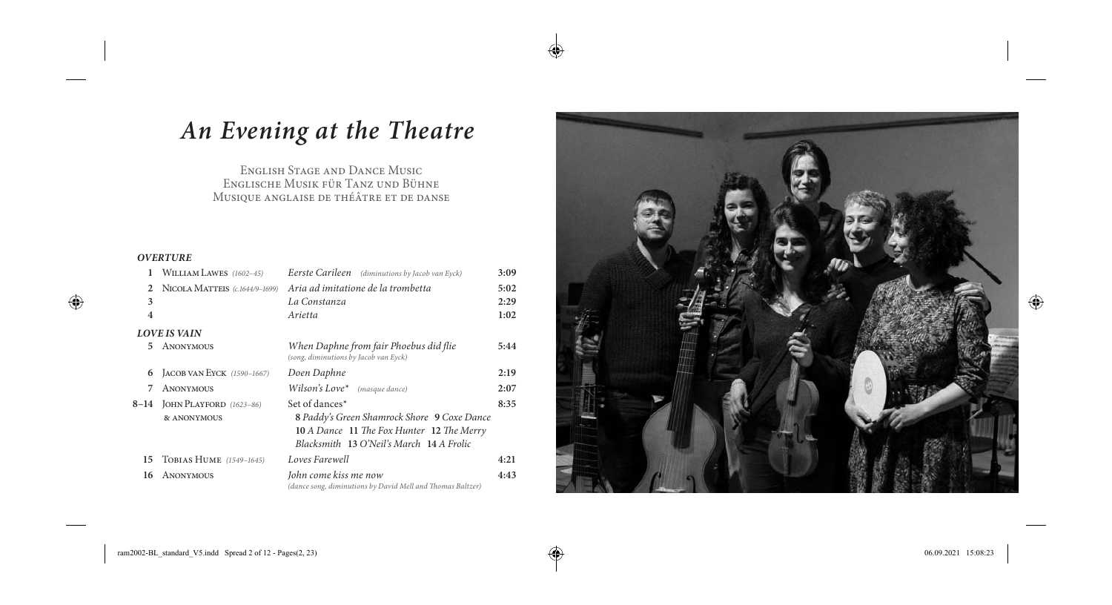# An Evening at the Theatre

 $\bigoplus$ 

 $\bigoplus$ 

ENGLISH STAGE AND DANCE MUSIC ENGLISCHE MUSIK FÜR TANZ UND BÜHNE MUSIQUE ANGLAISE DE THÉÂTRE ET DE DANSE

### **OVERTURE**

 $\bigoplus$ 

| 1                   | WILLIAM LAWES (1602-45)                     | <b>Eerste Carileen</b> (diminutions by Jacob van Eyck)                                                                                                             | 3:09 |  |  |
|---------------------|---------------------------------------------|--------------------------------------------------------------------------------------------------------------------------------------------------------------------|------|--|--|
| $\mathfrak{D}$      | NICOLA MATTEIS $(c.1644/9-1699)$            | Aria ad imitatione de la trombetta                                                                                                                                 | 5:02 |  |  |
| 3                   |                                             | La Constanza                                                                                                                                                       | 2:29 |  |  |
| $\overline{4}$      |                                             | Arietta                                                                                                                                                            | 1:02 |  |  |
| <b>LOVE IS VAIN</b> |                                             |                                                                                                                                                                    |      |  |  |
| 5.                  | ANONYMOUS                                   | When Daphne from fair Phoebus did flie<br>(song, diminutions by Jacob van Eyck)                                                                                    | 5:44 |  |  |
| 6                   | JACOB VAN EYCK (1590-1667)                  | Doen Daphne                                                                                                                                                        | 2:19 |  |  |
| 7                   | <b>ANONYMOUS</b>                            | Wilson's Love* $(masque dance)$                                                                                                                                    | 2:07 |  |  |
|                     | 8-14 JOHN PLAYFORD (1623-86)<br>& ANONYMOUS | Set of dances <sup>*</sup><br>8 Paddy's Green Shamrock Shore 9 Coxe Dance<br>10 A Dance 11 The Fox Hunter 12 The Merry<br>Blacksmith 13 O'Neil's March 14 A Frolic | 8:35 |  |  |
| 15                  | TOBIAS HUME (1549-1645)                     | Loves Farewell                                                                                                                                                     | 4:21 |  |  |
| 16                  | ANONYMOUS                                   | John come kiss me now<br>(dance song, diminutions by David Mell and Thomas Baltzer)                                                                                | 4:43 |  |  |